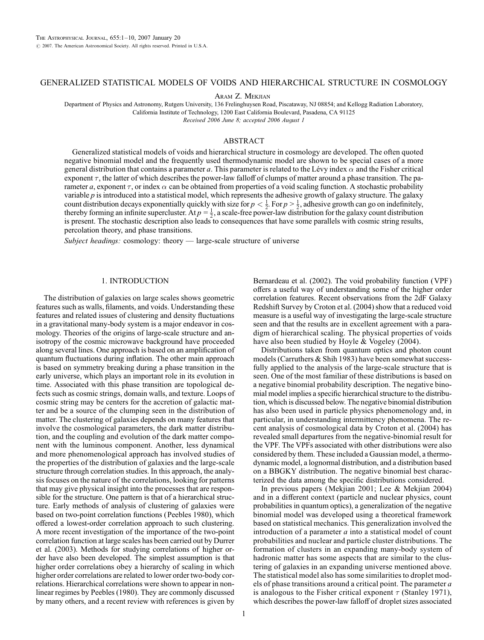### GENERALIZED STATISTICAL MODELS OF VOIDS AND HIERARCHICAL STRUCTURE IN COSMOLOGY

Aram Z. Mekjian

Department of Physics and Astronomy, Rutgers University, 136 Frelinghuysen Road, Piscataway, NJ 08854; and Kellogg Radiation Laboratory, California Institute of Technology, 1200 East California Boulevard, Pasadena, CA 91125

Received 2006 June 8; accepted 2006 August 1

#### ABSTRACT

Generalized statistical models of voids and hierarchical structure in cosmology are developed. The often quoted negative binomial model and the frequently used thermodynamic model are shown to be special cases of a more general distribution that contains a parameter a. This parameter is related to the Lévy index  $\alpha$  and the Fisher critical exponent  $\tau$ , the latter of which describes the power-law falloff of clumps of matter around a phase transition. The parameter a, exponent  $\tau$ , or index  $\alpha$  can be obtained from properties of a void scaling function. A stochastic probability variable  $p$  is introduced into a statistical model, which represents the adhesive growth of galaxy structure. The galaxy count distribution decays exponentially quickly with size for  $p < \frac{1}{2}$ . For  $p > \frac{1}{2}$ , adhesive growth can go on indefinitely, thereby forming an infinite supercluster. At  $p = \frac{1}{2}$ , a scale-free power-law distribution for the galaxy count distribution is present. The stochastic description also leads to consequences that have some parallels with cosmic string results, percolation theory, and phase transitions.

Subject headings: cosmology: theory - large-scale structure of universe

### 1. INTRODUCTION

The distribution of galaxies on large scales shows geometric features such as walls, filaments, and voids. Understanding these features and related issues of clustering and density fluctuations in a gravitational many-body system is a major endeavor in cosmology. Theories of the origins of large-scale structure and anisotropy of the cosmic microwave background have proceeded along several lines. One approach is based on an amplification of quantum fluctuations during inflation. The other main approach is based on symmetry breaking during a phase transition in the early universe, which plays an important role in its evolution in time. Associated with this phase transition are topological defects such as cosmic strings, domain walls, and texture. Loops of cosmic string may be centers for the accretion of galactic matter and be a source of the clumping seen in the distribution of matter. The clustering of galaxies depends on many features that involve the cosmological parameters, the dark matter distribution, and the coupling and evolution of the dark matter component with the luminous component. Another, less dynamical and more phenomenological approach has involved studies of the properties of the distribution of galaxies and the large-scale structure through correlation studies. In this approach, the analysis focuses on the nature of the correlations, looking for patterns that may give physical insight into the processes that are responsible for the structure. One pattern is that of a hierarchical structure. Early methods of analysis of clustering of galaxies were based on two-point correlation functions (Peebles 1980), which offered a lowest-order correlation approach to such clustering. A more recent investigation of the importance of the two-point correlation function at large scales has been carried out by Durrer et al. (2003). Methods for studying correlations of higher order have also been developed. The simplest assumption is that higher order correlations obey a hierarchy of scaling in which higher order correlations are related to lower order two-body correlations. Hierarchical correlations were shown to appear in nonlinear regimes by Peebles (1980). They are commonly discussed by many others, and a recent review with references is given by

Bernardeau et al. (2002). The void probability function (VPF ) offers a useful way of understanding some of the higher order correlation features. Recent observations from the 2dF Galaxy Redshift Survey by Croton et al. (2004) show that a reduced void measure is a useful way of investigating the large-scale structure seen and that the results are in excellent agreement with a paradigm of hierarchical scaling. The physical properties of voids have also been studied by Hoyle & Vogeley (2004).

Distributions taken from quantum optics and photon count models (Carruthers & Shih 1983) have been somewhat successfully applied to the analysis of the large-scale structure that is seen. One of the most familiar of these distributions is based on a negative binomial probability description. The negative binomial model implies a specific hierarchical structure to the distribution, which is discussed below. The negative binomial distribution has also been used in particle physics phenomenology and, in particular, in understanding intermittency phenomena. The recent analysis of cosmological data by Croton et al. (2004) has revealed small departures from the negative-binomial result for the VPF. The VPFs associated with other distributions were also considered by them. These included a Gaussian model, a thermodynamic model, a lognormal distribution, and a distribution based on a BBGKY distribution. The negative binomial best characterized the data among the specific distributions considered.

In previous papers (Mekjian 2001; Lee & Mekjian 2004) and in a different context (particle and nuclear physics, count probabilities in quantum optics), a generalization of the negative binomial model was developed using a theoretical framework based on statistical mechanics. This generalization involved the introduction of a parameter  $a$  into a statistical model of count probabilities and nuclear and particle cluster distributions. The formation of clusters in an expanding many-body system of hadronic matter has some aspects that are similar to the clustering of galaxies in an expanding universe mentioned above. The statistical model also has some similarities to droplet models of phase transitions around a critical point. The parameter a is analogous to the Fisher critical exponent  $\tau$  (Stanley 1971), which describes the power-law falloff of droplet sizes associated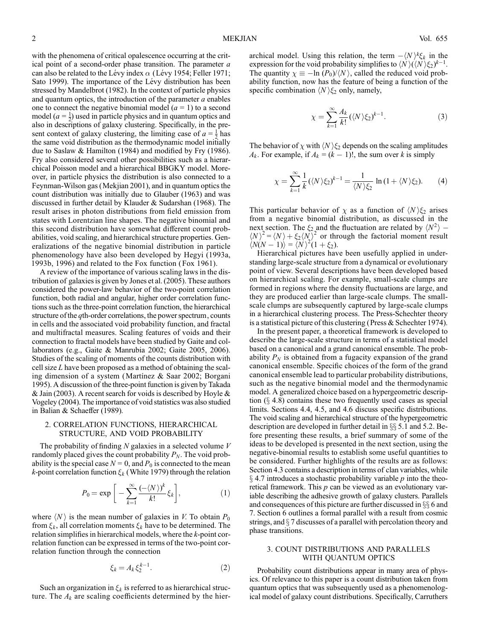with the phenomena of critical opalescence occurring at the critical point of a second-order phase transition. The parameter  $a$ can also be related to the Lévy index  $\alpha$  (Lévy 1954; Feller 1971; Sato 1999). The importance of the Lévy distribution has been stressed by Mandelbrot (1982). In the context of particle physics and quantum optics, the introduction of the parameter  $a$  enables one to connect the negative binomial model  $(a = 1)$  to a second model ( $a = \frac{1}{2}$ ) used in particle physics and in quantum optics and also in descriptions of galaxy clustering. Specifically, in the present context of galaxy clustering, the limiting case of  $a = \frac{1}{2}$  has the same void distribution as the thermodynamic model initially due to Saslaw & Hamilton (1984) and modified by Fry (1986). Fry also considered several other possibilities such as a hierarchical Poisson model and a hierarchical BBGKY model. Moreover, in particle physics the distribution is also connected to a Feynman-Wilson gas (Mekjian 2001), and in quantum optics the count distribution was initially due to Glauber (1963) and was discussed in further detail by Klauder & Sudarshan (1968). The result arises in photon distributions from field emission from states with Lorentzian line shapes. The negative binomial and this second distribution have somewhat different count probabilities, void scaling, and hierarchical structure properties. Generalizations of the negative binomial distribution in particle phenomenology have also been developed by Hegyi (1993a, 1993b, 1996) and related to the Fox function (Fox 1961).

A review of the importance of various scaling laws in the distribution of galaxies is given by Jones et al. (2005). These authors considered the power-law behavior of the two-point correlation function, both radial and angular, higher order correlation functions such as the three-point correlation function, the hierarchical structure of the qth-order correlations, the power spectrum, counts in cells and the associated void probability function, and fractal and multifractal measures. Scaling features of voids and their connection to fractal models have been studied by Gaite and collaborators (e.g., Gaite & Manrubia 2002; Gaite 2005, 2006). Studies of the scaling of moments of the counts distribution with cell size  $L$  have been proposed as a method of obtaining the scaling dimension of a system (Martínez  $& Saar 2002$ ; Borgani 1995). A discussion of the three-point function is given by Takada & Jain (2003). A recent search for voids is described by Hoyle  $\&$ Vogeley (2004). The importance of void statistics was also studied in Balian & Schaeffer (1989).

## 2. CORRELATION FUNCTIONS, HIERARCHICAL STRUCTURE, AND VOID PROBABILITY

The probability of finding  $N$  galaxies in a selected volume  $V$ randomly placed gives the count probability  $P_N$ . The void probability is the special case  $N = 0$ , and  $P_0$  is connected to the mean k-point correlation function  $\xi_k$  (White 1979) through the relation

$$
P_0 = \exp\bigg[-\sum_{k=1}^{\infty} \frac{(-\langle N \rangle)^k}{k!} \xi_k\bigg],\tag{1}
$$

where  $\langle N \rangle$  is the mean number of galaxies in V. To obtain  $P_0$ from  $\xi_k$ , all correlation moments  $\xi_k$  have to be determined. The relation simplifies in hierarchical models, where the k-point correlation function can be expressed in terms of the two-point correlation function through the connection

$$
\xi_k = A_k \xi_2^{k-1}.\tag{2}
$$

Such an organization in  $\xi_k$  is referred to as hierarchical structure. The  $A_k$  are scaling coefficients determined by the hierarchical model. Using this relation, the term  $-\langle N \rangle^k \xi_k$  in the expression for the void probability simplifies to  $\langle N \rangle (\langle N \rangle \xi_2)^{k-1}$ . The quantity  $\chi \equiv -\ln (P_0)/\langle N \rangle$ , called the reduced void probability function, now has the feature of being a function of the specific combination  $\langle N \rangle \xi_2$  only, namely,

$$
\chi = \sum_{k=1}^{\infty} \frac{A_k}{k!} (\langle N \rangle \xi_2)^{k-1}.
$$
 (3)

The behavior of  $\chi$  with  $\langle N \rangle \xi_2$  depends on the scaling amplitudes  $A_k$ . For example, if  $A_k = (k - 1)!$ , the sum over k is simply

$$
\chi = \sum_{k=1}^{\infty} \frac{1}{k} (\langle N \rangle \xi_2)^{k-1} = \frac{1}{\langle N \rangle \xi_2} \ln \left( 1 + \langle N \rangle \xi_2 \right). \tag{4}
$$

This particular behavior of  $\chi$  as a function of  $\langle N \rangle \xi_2$  arises from a negative binomial distribution, as discussed in the next section. The  $\xi_2$  and the fluctuation are related by  $\langle N^2 \rangle$  –  $\langle N \rangle^2 = \langle N \rangle + \xi_2 \langle N \rangle^2$  or through the factorial moment result  $\langle N(N-1)\rangle = \langle N \rangle^2 (1+\xi_2).$ 

Hierarchical pictures have been usefully applied in understanding large-scale structure from a dynamical or evolutionary point of view. Several descriptions have been developed based on hierarchical scaling. For example, small-scale clumps are formed in regions where the density fluctuations are large, and they are produced earlier than large-scale clumps. The smallscale clumps are subsequently captured by large-scale clumps in a hierarchical clustering process. The Press-Schechter theory is a statistical picture of this clustering (Press & Schechter 1974).

In the present paper, a theoretical framework is developed to describe the large-scale structure in terms of a statistical model based on a canonical and a grand canonical ensemble. The probability  $P_N$  is obtained from a fugacity expansion of the grand canonical ensemble. Specific choices of the form of the grand canonical ensemble lead to particular probability distributions, such as the negative binomial model and the thermodynamic model. A generalized choice based on a hypergeometric description  $(\S$  4.8) contains these two frequently used cases as special limits. Sections 4.4, 4.5, and 4.6 discuss specific distributions. The void scaling and hierarchical structure of the hypergeometric description are developed in further detail in  $\S$ § 5.1 and 5.2. Before presenting these results, a brief summary of some of the ideas to be developed is presented in the next section, using the negative-binomial results to establish some useful quantities to be considered. Further highlights of the results are as follows: Section 4.3 contains a description in terms of clan variables, while  $\S 4.7$  introduces a stochastic probability variable p into the theoretical framework. This  $p$  can be viewed as an evolutionary variable describing the adhesive growth of galaxy clusters. Parallels and consequences of this picture are further discussed in  $\S$  6 and 7. Section 6 outlines a formal parallel with a result from cosmic strings, and  $\S$  7 discusses of a parallel with percolation theory and phase transitions.

## 3. COUNT DISTRIBUTIONS AND PARALLELS WITH QUANTUM OPTICS

Probability count distributions appear in many area of physics. Of relevance to this paper is a count distribution taken from quantum optics that was subsequently used as a phenomenological model of galaxy count distributions. Specifically, Carruthers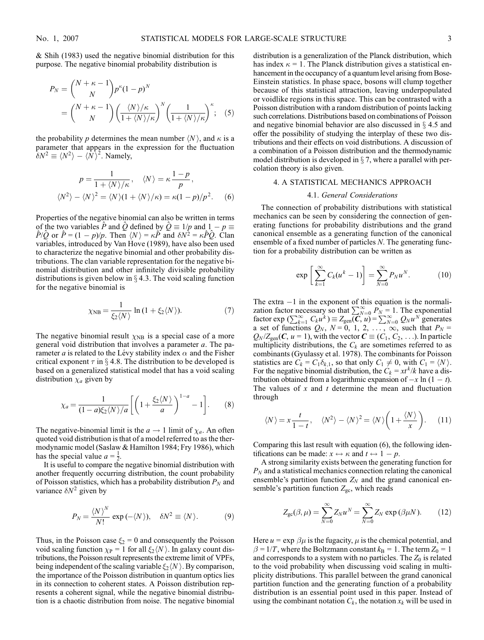& Shih (1983) used the negative binomial distribution for this purpose. The negative binomial probability distribution is

$$
P_N = {N + \kappa - 1 \choose N} p^{\kappa} (1 - p)^N
$$
  
=  ${N + \kappa - 1 \choose N} \left(\frac{\langle N \rangle / \kappa}{1 + \langle N \rangle / \kappa}\right)^N \left(\frac{1}{1 + \langle N \rangle / \kappa}\right)^{\kappa};$  (5)

the probability p determines the mean number  $\langle N \rangle$ , and  $\kappa$  is a parameter that appears in the expression for the fluctuation  $\delta N^2 \equiv \langle N^2 \rangle - \langle N \rangle^2$ . Namely,

$$
p = \frac{1}{1 + \langle N \rangle / \kappa}, \quad \langle N \rangle = \kappa \frac{1 - p}{p},
$$

$$
\langle N^2 \rangle - \langle N \rangle^2 = \langle N \rangle (1 + \langle N \rangle / \kappa) = \kappa (1 - p) / p^2. \quad (6)
$$

Properties of the negative binomial can also be written in terms of the two variables  $\hat{P}$  and  $\hat{Q}$  defined by  $\hat{Q} \equiv 1/p$  and  $1-p \equiv$  $\hat{P}/\hat{Q}$  or  $\hat{P} = (1 - p)/p$ . Then  $\langle N \rangle = \kappa \hat{P}$  and  $\delta N^2 = \kappa \hat{P} \hat{Q}$ . Clan variables, introduced by Van Hove (1989), have also been used to characterize the negative binomial and other probability distributions. The clan variable representation for the negative binomial distribution and other infinitely divisible probability distributions is given below in  $\S$  4.3. The void scaling function for the negative binomial is

$$
\chi_{\rm NB} = \frac{1}{\xi_2 \langle N \rangle} \ln \left( 1 + \xi_2 \langle N \rangle \right). \tag{7}
$$

The negative binomial result  $\chi_{NB}$  is a special case of a more general void distribution that involves a parameter  $a$ . The parameter *a* is related to the Lévy stability index  $\alpha$  and the Fisher critical exponent  $\tau$  in  $\S 4.8$ . The distribution to be developed is based on a generalized statistical model that has a void scaling distribution  $\chi_a$  given by

$$
\chi_a = \frac{1}{(1-a)\xi_2 \langle N \rangle / a} \left[ \left( 1 + \frac{\xi_2 \langle N \rangle}{a} \right)^{1-a} - 1 \right].
$$
 (8)

The negative-binomial limit is the  $a \rightarrow 1$  limit of  $\chi_a$ . An often quoted void distribution is that of a model referred to as the thermodynamic model (Saslaw & Hamilton 1984; Fry 1986), which has the special value  $a = \frac{1}{2}$ .

It is useful to compare the negative binomial distribution with another frequently occurring distribution, the count probability of Poisson statistics, which has a probability distribution  $P<sub>N</sub>$  and variance  $\delta N^2$  given by

$$
P_N = \frac{\langle N \rangle^N}{N!} \exp(-\langle N \rangle), \quad \delta N^2 \equiv \langle N \rangle. \tag{9}
$$

Thus, in the Poisson case  $\xi_2 = 0$  and consequently the Poisson void scaling function  $\chi_{\rm P} = 1$  for all  $\xi_2\langle N \rangle$ . In galaxy count distributions, the Poisson result represents the extreme limit of VPFs, being independent of the scaling variable  $\xi_2\langle N\rangle$ . By comparison, the importance of the Poisson distribution in quantum optics lies in its connection to coherent states. A Poisson distribution represents a coherent signal, while the negative binomial distribution is a chaotic distribution from noise. The negative binomial distribution is a generalization of the Planck distribution, which has index  $\kappa = 1$ . The Planck distribution gives a statistical enhancement in the occupancy of a quantum level arising from Bose-Einstein statistics. In phase space, bosons will clump together because of this statistical attraction, leaving underpopulated or voidlike regions in this space. This can be contrasted with a Poisson distribution with a random distribution of points lacking such correlations. Distributions based on combinations of Poisson and negative binomial behavior are also discussed in  $\S$  4.5 and offer the possibility of studying the interplay of these two distributions and their effects on void distributions. A discussion of a combination of a Poisson distribution and the thermodynamic model distribution is developed in  $\S$  7, where a parallel with percolation theory is also given.

## 4. A STATISTICAL MECHANICS APPROACH

## 4.1. General Considerations

The connection of probability distributions with statistical mechanics can be seen by considering the connection of generating functions for probability distributions and the grand canonical ensemble as a generating function of the canonical ensemble of a fixed number of particles N. The generating function for a probability distribution can be written as

$$
\exp\left[\sum_{k=1}^{\infty}C_k(u^k-1)\right]=\sum_{N=0}^{\infty}P_Nu^N.\tag{10}
$$

The extra  $-1$  in the exponent of this equation is the normalization factor necessary so that  $\sum_{N=0}^{\infty} P_N = 1$ . The exponential factor exp  $(\sum_{k=1}^{\infty} C_k u^k) \equiv Z_{\text{gen}}(C, u) = \sum_{N=0}^{\infty} Q_N u^N$  generates a set of functions  $Q_N$ ,  $N = 0, 1, 2, \ldots, \infty$ , such that  $P_N =$  $Q_N/Z_{\text{gen}}(C, u = 1)$ , with the vector  $C \equiv (C_1, C_2, \ldots)$ . In particle multiplicity distributions, the  $C_k$  are sometimes referred to as combinants (Gyulassy et al. 1978). The combinants for Poisson statistics are  $C_k = C_1 \delta_{k,1}$ , so that only  $C_1 \neq 0$ , with  $C_1 = \langle N \rangle$ . For the negative binomial distribution, the  $C_k = xt^k/k$  have a distribution obtained from a logarithmic expansion of  $-x \ln (1 - t)$ . The values of  $x$  and  $t$  determine the mean and fluctuation through

$$
\langle N \rangle = x \frac{t}{1-t}, \quad \langle N^2 \rangle - \langle N \rangle^2 = \langle N \rangle \left( 1 + \frac{\langle N \rangle}{x} \right). \tag{11}
$$

Comparing this last result with equation (6), the following identifications can be made:  $x \leftrightarrow \kappa$  and  $t \leftrightarrow 1 - p$ .

A strong similarity exists between the generating function for  $P<sub>N</sub>$  and a statistical mechanics connection relating the canonical ensemble's partition function  $Z_N$  and the grand canonical ensemble's partition function  $Z_{gc}$ , which reads

$$
Z_{\rm gc}(\beta,\mu) = \sum_{N=0}^{\infty} Z_N u^N = \sum_{N=0}^{\infty} Z_N \exp(\beta \mu N). \tag{12}
$$

Here  $u = \exp \beta \mu$  is the fugacity,  $\mu$  is the chemical potential, and  $\beta = 1/T$ , where the Boltzmann constant  $k_B = 1$ . The term  $Z_0 = 1$ and corresponds to a system with no particles. The  $Z_0$  is related to the void probability when discussing void scaling in multiplicity distributions. This parallel between the grand canonical partition function and the generating function of a probability distribution is an essential point used in this paper. Instead of using the combinant notation  $C_k$ , the notation  $x_k$  will be used in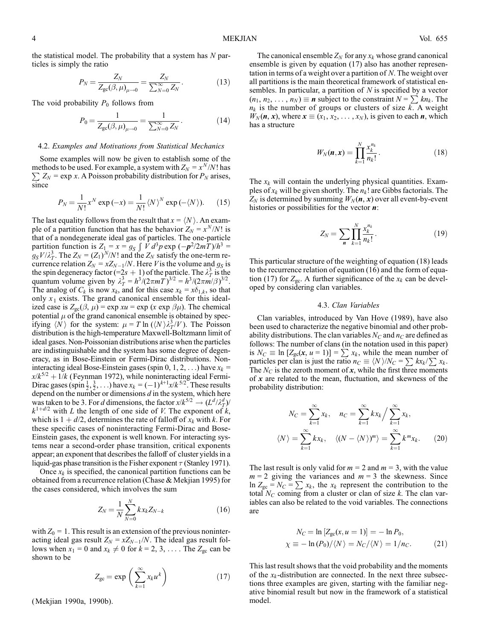the statistical model. The probability that a system has  $N$  particles is simply the ratio

$$
P_N = \frac{Z_N}{Z_{\rm gc}(\beta, \mu)_{\mu \to 0}} = \frac{Z_N}{\sum_{N=0}^{\infty} Z_N}.
$$
 (13)

The void probability  $P_0$  follows from

$$
P_0 = \frac{1}{Z_{\rm gc}(\beta, \mu)_{\mu \to 0}} = \frac{1}{\sum_{N=0}^{\infty} Z_N}.
$$
 (14)

#### 4.2. Examples and Motivations from Statistical Mechanics

Some examples will now be given to establish some of the methods to be used. For example, a system with  $Z_N = x^N/N!$  has  $\sum Z_N = \exp x$ . A Poisson probability distribution for  $P_N$  arises, since

$$
P_N = \frac{1}{N!} x^N \exp(-x) = \frac{1}{N!} \langle N \rangle^N \exp(-\langle N \rangle). \tag{15}
$$

The last equality follows from the result that  $x = \langle N \rangle$ . An example of a partition function that has the behavior  $Z_N = x^N/N!$  is that of a nondegenerate ideal gas of particles. The one-particle partition function is  $Z_1 = x = g_S \int V d^3 p \exp(-p^2/2mT)/h^3$  $g_S V/\lambda_T^3$ . The  $Z_N = (Z_1)^N/N!$  and the  $Z_N$  satisfy the one-term recurrence relation  $Z_N = xZ_{N-1}/N$ . Here V is the volume and  $g_S$  is the spin degeneracy factor (=2s + 1) of the particle. The  $\lambda_T^3$  is the quantum volume given by  $\lambda_T^3 = h^3/(2\pi mT)^{3/2} = h^3/(2\pi m/\beta)^{3/2}$ . The analog of  $C_k$  is now  $x_k$ , and for this case  $x_k = x\delta_{1,k}$ , so that only  $x_1$  exists. The grand canonical ensemble for this idealized case is  $Z_{gc}(\beta, \mu) = \exp xu = \exp (x \exp \beta \mu)$ . The chemical potential  $\mu$  of the grand canonical ensemble is obtained by specifying  $\langle N \rangle$  for the system:  $\mu = T \ln (\langle N \rangle \lambda_T^3 / V)$ . The Poisson distribution is the high-temperature Maxwell-Boltzmann limit of ideal gases. Non-Poissonian distributions arise when the particles are indistinguishable and the system has some degree of degeneracy, as in Bose-Einstein or Fermi-Dirac distributions. Noninteracting ideal Bose-Einstein gases (spin 0, 1, 2, ...) have  $x_k =$  $x/k^{5/2} + 1/k$  (Feynman 1972), while noninteracting ideal Fermi-Dirac gases (spin  $\frac{1}{2}, \frac{3}{2}, \ldots$ ) have  $x_k = (-1)^{k+1}x/k^{5/2}$ . These results depend on the number or dimensions  $d$  in the system, which here was taken to be 3. For d dimensions, the factor  $x/k^{5/2} \rightarrow (L^d/\lambda_T^d)/2$  $k^{1+d/2}$  with L the length of one side of V. The exponent of k, which is  $1 + d/2$ , determines the rate of falloff of  $x_k$  with k. For these specific cases of noninteracting Fermi-Dirac and Bose-Einstein gases, the exponent is well known. For interacting systems near a second-order phase transition, critical exponents appear; an exponent that describes the falloff of cluster yields in a liquid-gas phase transition is the Fisher exponent  $\tau$  (Stanley 1971).

Once  $x_k$  is specified, the canonical partition functions can be obtained from a recurrence relation (Chase & Mekjian 1995) for the cases considered, which involves the sum

$$
Z_N = \frac{1}{N} \sum_{N=0}^{N} k x_k Z_{N-k}
$$
 (16)

with  $Z_0 = 1$ . This result is an extension of the previous noninteracting ideal gas result  $Z_N = xZ_{N-1}/N$ . The ideal gas result follows when  $x_1 = 0$  and  $x_k \neq 0$  for  $k = 2, 3, \ldots$ . The  $Z_{gc}$  can be shown to be

$$
Z_{\rm gc} = \exp\left(\sum_{k=1}^{\infty} x_k u^k\right) \tag{17}
$$

(Mekjian 1990a, 1990b).

The canonical ensemble  $Z_N$  for any  $x_k$  whose grand canonical ensemble is given by equation (17) also has another representation in terms of a weight over a partition of N. The weight over all partitions is the main theoretical framework of statistical ensembles. In particular, a partition of  $N$  is specified by a vector  $(n_1, n_2, \ldots, n_N) \equiv n$  subject to the constraint  $N = \sum k n_k$ . The  $n_k$  is the number of groups or clusters of size k. A weight  $W_N(n, x)$ , where  $x \equiv (x_1, x_2, \ldots, x_N)$ , is given to each *n*, which has a structure

$$
W_N(\boldsymbol{n}, \boldsymbol{x}) = \prod_{k=1}^N \frac{x_k^{n_k}}{n_k!}.
$$
 (18)

The  $x_k$  will contain the underlying physical quantities. Examples of  $x_k$  will be given shortly. The  $n_k!$  are Gibbs factorials. The  $Z_N$  is determined by summing  $W_N(n, x)$  over all event-by-event histories or possibilities for the vector  $\boldsymbol{n}$ :

$$
Z_N = \sum_{n} \prod_{k=1}^{N} \frac{x_k^{n_k}}{n_k!}.
$$
 (19)

This particular structure of the weighting of equation (18) leads to the recurrence relation of equation (16) and the form of equation (17) for  $Z_{gc}$ . A further significance of the  $x_k$  can be developed by considering clan variables.

#### 4.3. Clan Variables

Clan variables, introduced by Van Hove (1989), have also been used to characterize the negative binomial and other probability distributions. The clan variables  $N_C$  and  $n_C$  are defined as follows: The number of clans (in the notation used in this paper) is  $N_C \equiv \ln \left[ Z_{gc}(x, u = 1) \right] = \sum x_k$ , while the mean number of particles per clan is just the ratio  $n_C \equiv \langle N \rangle / N_C = \sum kx_k / \sum x_k$ . The  $N_c$  is the zeroth moment of x, while the first three moments of  $x$  are related to the mean, fluctuation, and skewness of the probability distribution:

$$
N_C = \sum_{k=1}^{\infty} x_k, \quad n_C = \sum_{k=1}^{\infty} k x_k / \sum_{k=1}^{\infty} x_k,
$$
  

$$
\langle N \rangle = \sum_{k=1}^{\infty} k x_k, \quad \langle (N - \langle N \rangle)^m \rangle = \sum_{k=1}^{\infty} k^m x_k.
$$
 (20)

The last result is only valid for  $m = 2$  and  $m = 3$ , with the value  $m = 2$  giving the variances and  $m = 3$  the skewness. Since ln  $Z_{gc} = N_C = \sum x_k$ , the  $x_k$  represent the contribution to the total  $N_c$  coming from a cluster or clan of size k. The clan variables can also be related to the void variables. The connections are

$$
N_C = \ln \left[ Z_{\rm gc}(x, u = 1) \right] = -\ln P_0,
$$
  

$$
\chi \equiv -\ln \left( P_0 \right) / \langle N \rangle = N_C / \langle N \rangle = 1 / n_C. \tag{21}
$$

This last result shows that the void probability and the moments of the  $x_k$ -distribution are connected. In the next three subsections three examples are given, starting with the familiar negative binomial result but now in the framework of a statistical model.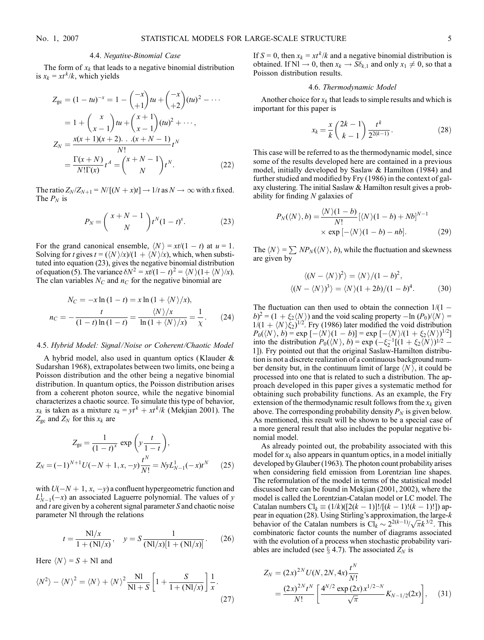### 4.4. Negative-Binomial Case

The form of  $x_k$  that leads to a negative binomial distribution is  $x_k = xt^k/k$ , which yields

$$
Z_{gc} = (1 - tu)^{-x} = 1 - {x \choose +1}tu + {x \choose +2}(tu)^2 - \cdots
$$
  
= 1 + {x \choose x-1}tu + {x+1 \choose x-1}(tu)^2 + \cdots,  
Z\_N = \frac{x(x+1)(x+2) \dots (x+N-1)}{N!}t^N  
= \frac{\Gamma(x+N)}{N!\Gamma(x)}t^A = {x+N-1 \choose N}t^N. (22)

The ratio  $Z_N/Z_{N+1} = N/[(N + x)t] \rightarrow 1/t$  as  $N \rightarrow \infty$  with x fixed. The  $P_N$  is

$$
P_N = {x + N - 1 \choose N} t^N (1 - t)^{x}.
$$
 (23)

For the grand canonical ensemble,  $\langle N \rangle = xt/(1 - t)$  at  $u = 1$ . Solving for t gives  $t = (\langle N \rangle /x) / (1 + \langle N \rangle /x)$ , which, when substituted into equation (23), gives the negative binomial distribution of equation (5). The variance  $\delta N^2 = x t/(1-t)^2 = \langle N \rangle (1+\langle N \rangle /x)$ . The clan variables  $N_C$  and  $n_C$  for the negative binomial are

$$
N_C = -x \ln(1 - t) = x \ln(1 + \langle N \rangle/x),
$$
  

$$
n_C = -\frac{t}{(1 - t) \ln(1 - t)} = \frac{\langle N \rangle/x}{\ln(1 + \langle N \rangle/x)} = \frac{1}{\chi}.
$$
 (24)

### 4.5. Hybrid Model: Signal/Noise or Coherent/Chaotic Model

A hybrid model, also used in quantum optics (Klauder & Sudarshan 1968), extrapolates between two limits, one being a Poisson distribution and the other being a negative binomial distribution. In quantum optics, the Poisson distribution arises from a coherent photon source, while the negative binomial characterizes a chaotic source. To simulate this type of behavior,  $x_k$  is taken as a mixture  $x_k = yt^k + xt^k / k$  (Mekjian 2001). The  $Z_{\rm gc}$  and  $Z_N$  for this  $x_k$  are

$$
Z_{\text{gc}} = \frac{1}{(1-t)^x} \exp\left(y\frac{t}{1-t}\right),
$$
  

$$
Z_N = (-1)^{N+1}U(-N+1,x,-y)\frac{t^N}{N!} = NyL_{N-1}^1(-x)t^N \qquad (25)
$$

with  $U(-N + 1, x, -y)$  a confluent hypergeometric function and  $L_{N-1}^{1}(-x)$  an associated Laguerre polynomial. The values of y and  $t$  are given by a coherent signal parameter  $S$  and chaotic noise parameter Nl through the relations

$$
t = \frac{Nl/x}{1 + (Nl/x)}, \quad y = S \frac{1}{(Nl/x)[1 + (Nl/x)]}.
$$
 (26)

Here  $\langle N \rangle = S + Nl$  and

$$
\langle N^2 \rangle - \langle N \rangle^2 = \langle N \rangle + \langle N \rangle^2 \frac{\text{NI}}{\text{NI} + S} \left[ 1 + \frac{S}{1 + (\text{NI}/x)} \right] \frac{1}{x}.
$$
\n(27)

If  $S = 0$ , then  $x_k = xt^k/k$  and a negative binomial distribution is obtained. If Nl  $\rightarrow$  0, then  $x_k \rightarrow S\delta_{k,1}$  and only  $x_1 \neq 0$ , so that a Poisson distribution results.

#### 4.6. Thermodynamic Model

Another choice for  $x_k$  that leads to simple results and which is important for this paper is

$$
x_k = \frac{x}{k} \binom{2k-1}{k-1} \frac{t^k}{2^{2(k-1)}}.
$$
 (28)

This case will be referred to as the thermodynamic model, since some of the results developed here are contained in a previous model, initially developed by Saslaw & Hamilton (1984) and further studied and modified by Fry (1986) in the context of galaxy clustering. The initial Saslaw & Hamilton result gives a probability for finding  $N$  galaxies of

$$
P_N(\langle N \rangle, b) = \frac{\langle N \rangle (1-b)}{N!} [\langle N \rangle (1-b) + Nb]^{N-1}
$$
  
× exp [- $\langle N \rangle (1-b) - nb$ ]. (29)

The  $\langle N \rangle = \sum N P_N(\langle N \rangle, b)$ , while the fluctuation and skewness are given by

$$
\langle (N - \langle N \rangle)^2 \rangle = \langle N \rangle / (1 - b)^2,
$$
  

$$
\langle (N - \langle N \rangle)^3 \rangle = \langle N \rangle (1 + 2b) / (1 - b)^4.
$$
 (30)

The fluctuation can then used to obtain the connection  $1/(1$  $b)^2 = (1 + \xi_2 \langle N \rangle)$  and the void scaling property  $-\ln (P_0)/\langle N \rangle =$  $1/(1 + \langle N \rangle \xi_2)^{1/2}$ . Fry (1986) later modified the void distribution  $P_0(\langle N \rangle, b) = \exp \left[-\langle N \rangle(1 - b)\right] = \exp \left[-\langle N \rangle/(1 + \xi_2\langle N \rangle)^{1/2}\right]$ into the distribution  $P_0(\langle N \rangle, b) = \exp(-\xi_2^{-1}[(1 + \xi_2 \langle N \rangle)^{1/2} -$ 1]). Fry pointed out that the original Saslaw-Hamilton distribution is not a discrete realization of a continuous background number density but, in the continuum limit of large  $\langle N \rangle$ , it could be processed into one that is related to such a distribution. The approach developed in this paper gives a systematic method for obtaining such probability functions. As an example, the Fry extension of the thermodynamic result follows from the  $x_k$  given above. The corresponding probability density  $P_N$  is given below. As mentioned, this result will be shown to be a special case of a more general result that also includes the popular negative binomial model.

As already pointed out, the probability associated with this model for  $x_k$  also appears in quantum optics, in a model initially developed by Glauber (1963). The photon count probability arises when considering field emission from Lorentzian line shapes. The reformulation of the model in terms of the statistical model discussed here can be found in Mekjian (2001, 2002), where the model is called the Lorentzian-Catalan model or LC model. The Catalan numbers  $Cl_k \equiv (1/k)([2(k-1)]!/[(k-1)!(k-1)!])$  appear in equation (28). Using Stirling's approximation, the large-k behavior of the Catalan numbers is  $Cl_k \sim 2^{2(k-1)/\sqrt{\pi}k^{3/2}}$ . This combinatoric factor counts the number of diagrams associated with the evolution of a process when stochastic probability variables are included (see  $\S$  4.7). The associated  $Z_N$  is

$$
Z_N = (2x)^{2N} U(N, 2N, 4x) \frac{t^N}{N!}
$$
  
= 
$$
\frac{(2x)^{2N} t^N}{N!} \left[ \frac{4^{N/2} \exp(2x) x^{1/2-N}}{\sqrt{\pi}} K_{N-1/2}(2x) \right],
$$
 (31)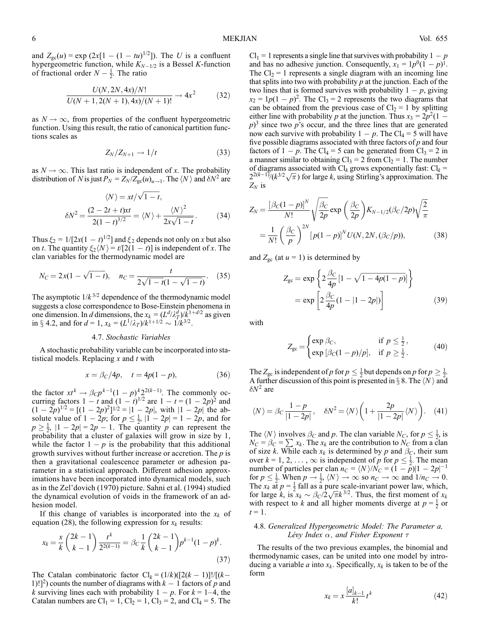and  $Z_{\rm gc}(u) = \exp (2x[1 - (1 - tu)^{1/2}])$ . The U is a confluent hypergeometric function, while  $K_{N-1/2}$  is a Bessel K-function of fractional order  $N - \frac{1}{2}$ . The ratio

$$
\frac{U(N, 2N, 4x)/N!}{U(N+1, 2(N+1), 4x)/(N+1)!} \to 4x^2
$$
 (32)

as  $N \to \infty$ , from properties of the confluent hypergeometric function. Using this result, the ratio of canonical partition functions scales as

$$
Z_N/Z_{N+1} \to 1/t \tag{33}
$$

as  $N \rightarrow \infty$ . This last ratio is independent of x. The probability distribution of N is just  $P_N = Z_N/Z_{\text{gc}}(u)_{u \to 1}$ . The  $\langle N \rangle$  and  $\delta N^2$  are

$$
\langle N \rangle = xt/\sqrt{1-t},
$$

$$
\delta N^2 = \frac{(2-2t+t)xt}{2(1-t)^{3/2}} = \langle N \rangle + \frac{\langle N \rangle^2}{2x\sqrt{1-t}}.
$$
(34)

Thus  $\xi_2 = 1/[2x(1 - t)^{1/2}]$  and  $\xi_2$  depends not only on x but also on t. The quantity  $\xi_2\langle N\rangle = t/[2(1 - t)]$  is independent of x. The clan variables for the thermodynamic model are

$$
N_C = 2x(1 - \sqrt{1 - t}), \quad n_C = \frac{t}{2\sqrt{1 - t(1 - \sqrt{1 - t})}}.\tag{35}
$$

The asymptotic  $1/k^{3/2}$  dependence of the thermodynamic model suggests a close correspondence to Bose-Einstein phenomena in one dimension. In d dimensions, the  $x_k = (L^d/\lambda_T^d)/k^{1+d/2}$  as given in § 4.2, and for  $d = 1$ ,  $x_k = (L^1/\lambda_T)/k^{1+1/2} \sim 1/k^{3/2}$ .

### 4.7. Stochastic Variables

A stochastic probability variable can be incorporated into statistical models. Replacing  $x$  and  $t$  with

$$
x = \beta_C/4p, \quad t = 4p(1 - p), \tag{36}
$$

the factor  $xt^k \to \beta_C p^{k-1}(1-p)^k 2^{2(k-1)}$ . The commonly occurring factors  $1 - t$  and  $(1 - t)^{1/2}$  are  $1 - t = (1 - 2p)^2$  and  $(1 - 2p)^{1/2} = [(1 - 2p)^2]^{1/2} = |1 - 2p|$ , with  $|1 - 2p|$  the absolute value of  $1 - 2p$ ; for  $p \le \frac{1}{2}$ ,  $|1 - 2p| = 1 - 2p$ , and for  $p \geq \frac{1}{2}$ ,  $|1 - 2p| = 2p - 1$ . The quantity p can represent the probability that a cluster of galaxies will grow in size by 1, while the factor  $1 - p$  is the probability that this additional growth survives without further increase or accretion. The  $p$  is then a gravitational coalescence parameter or adhesion parameter in a statistical approach. Different adhesion approximations have been incorporated into dynamical models, such as in the Zel'dovich (1970) picture. Sahni et al. (1994) studied the dynamical evolution of voids in the framework of an adhesion model.

If this change of variables is incorporated into the  $x_k$  of equation (28), the following expression for  $x_k$  results:

$$
x_k = \frac{x}{k} \binom{2k-1}{k-1} \frac{t^k}{2^{2(k-1)}} = \beta c \frac{1}{k} \binom{2k-1}{k-1} p^{k-1} (1-p)^k.
$$
\n(37)

The Catalan combinatoric factor  $Cl_k = (1/k)([2(k-1)]!/[(k-1)]$ 1)!]<sup>2</sup>) counts the number of diagrams with  $k - 1$  factors of p and k surviving lines each with probability  $1 - p$ . For  $k = 1-4$ , the Catalan numbers are Cl<sub>1</sub> = 1, Cl<sub>2</sub> = 1, Cl<sub>3</sub> = 2, and Cl<sub>4</sub> = 5. The  $Cl_1 = 1$  represents a single line that survives with probability  $1 - p$ and has no adhesive junction. Consequently,  $x_1 = 1p^0(1 - p)^1$ . The  $Cl_2 = 1$  represents a single diagram with an incoming line that splits into two with probability  $p$  at the junction. Each of the two lines that is formed survives with probability  $1 - p$ , giving  $x_2 = 1p(1 - p)^2$ . The Cl<sub>3</sub> = 2 represents the two diagrams that can be obtained from the previous case of  $Cl_2 = 1$  by splitting either line with probability p at the junction. Thus  $x_3 = 2p^2(1 -$ 

 $(p)^3$  since two p's occur, and the three lines that are generated now each survive with probability  $1 - p$ . The Cl<sub>4</sub> = 5 will have five possible diagrams associated with three factors of  $p$  and four factors of  $1 - p$ . The Cl<sub>4</sub> = 5 can be generated from Cl<sub>3</sub> = 2 in a manner similar to obtaining  $Cl_3 = 2$  from  $Cl_2 = 1$ . The number of diagrams associated with  $Cl_k$  grows exponentially fast:  $Cl_k$  = of diagrams associated with C<sub>Ik</sub> grows exponentially fast: C<sub>Ik</sub> =  $2^{2(k-1)/(k^{3/2}\sqrt{\pi})}$  for large k, using Stirling's approximation. The  $Z_N$  is

$$
Z_N = \frac{\left[\beta_C(1-p)\right]^N}{N!} \sqrt{\frac{\beta_C}{2p}} \exp\left(\frac{\beta_C}{2p}\right) K_{N-1/2}(\beta_C/2p) \sqrt{\frac{2}{\pi}}
$$

$$
= \frac{1}{N!} \left(\frac{\beta_C}{p}\right)^{2N} \left[p(1-p)\right]^N U(N, 2N, (\beta_C/p)),\tag{38}
$$

and  $Z_{\text{gc}}$  (at  $u = 1$ ) is determined by

$$
Z_{\rm gc} = \exp \left\{ 2 \frac{\beta_C}{4p} [1 - \sqrt{1 - 4p(1 - p)}] \right\}
$$
  
=  $\exp \left[ 2 \frac{\beta_C}{4p} (1 - |1 - 2p|) \right]$  (39)

with

$$
Z_{\rm gc} = \begin{cases} \exp \beta_C, & \text{if } p \le \frac{1}{2}, \\ \exp \left[ \beta_C (1 - p) / p \right], & \text{if } p \ge \frac{1}{2}. \end{cases}
$$
(40)

The  $Z_{\text{gc}}$  is independent of p for  $p \leq \frac{1}{2}$  but depends on p for  $p \geq \frac{1}{2}$ . A further discussion of this point is presented in  $\S 8$ . The  $\langle N \rangle$  and  $\delta N^2$  are

$$
\langle N \rangle = \beta_C \frac{1 - p}{|1 - 2p|}, \quad \delta N^2 = \langle N \rangle \left( 1 + \frac{2p}{|1 - 2p|} \langle N \rangle \right). \tag{41}
$$

The  $\langle N \rangle$  involves  $\beta_C$  and p. The clan variable  $N_C$ , for  $p \le \frac{1}{2}$  is  $N_C = \beta_C = \sum x_k$ . The  $x_k$  are the contribution to  $N_C$  from a clan of size k. While each  $x_k$  is determined by p and  $\beta_c$ , their sum over  $k = 1, 2, ..., \infty$  is independent of p for  $p \leq \frac{1}{2}$ . The mean number of particles per clan  $n_C = \langle N \rangle / N_C = (1 - \tilde{p})|1 - 2p|^{-1}$ for  $p \le \frac{1}{2}$ . When  $p \to \frac{1}{2}$ ,  $\langle N \rangle \to \infty$  so  $n_c \to \infty$  and  $1/n_c \to 0$ . The  $x_k$  at  $p = \frac{1}{2}$  fall as a pure scale-invariant power law, which, for large k, is  $x_k \sim \beta_C/2\sqrt{\pi}k^{3/2}$ . Thus, the first moment of  $x_k$ with respect to k and all higher moments diverge at  $p = \frac{1}{2}$  or  $t = 1$ .

## 4.8. Generalized Hypergeometric Model: The Parameter a, Lévy Index  $\alpha$ , and Fisher Exponent  $\tau$

The results of the two previous examples, the binomial and thermodynamic cases, can be united into one model by introducing a variable a into  $x_k$ . Specifically,  $x_k$  is taken to be of the form

$$
x_k = x \frac{[a]_{k-1}}{k!} t^k
$$
 (42)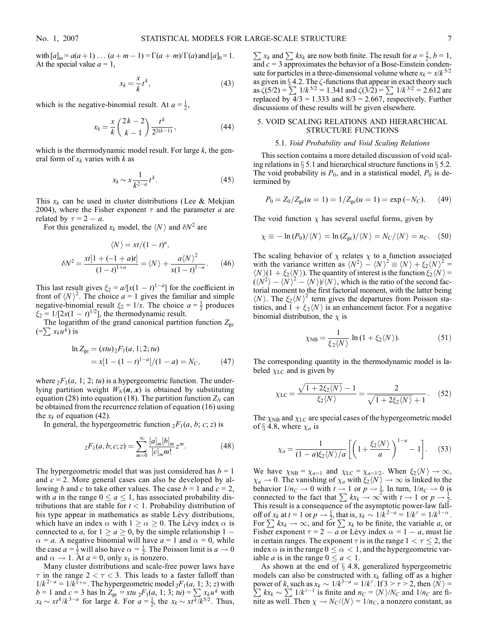with  $[a]_m = a(a+1) \dots (a+m-1) = \Gamma(a+m)/\Gamma(a)$  and  $[a]_0 = 1$ . At the special value  $a = 1$ ,

$$
x_k = \frac{x}{k} t^k, \tag{43}
$$

which is the negative-binomial result. At  $a = \frac{1}{2}$ ,

$$
x_k = \frac{x}{k} \binom{2k-2}{k-1} \frac{t^k}{2^{2(k-1)}},\tag{44}
$$

which is the thermodynamic model result. For large  $k$ , the general form of  $x_k$  varies with k as

$$
x_k \sim x \frac{1}{k^{2-a}} t^k. \tag{45}
$$

This  $x_k$  can be used in cluster distributions (Lee & Mekjian 2004), where the Fisher exponent  $\tau$  and the parameter a are related by  $\tau = 2 - a$ .

For this generalized  $x_k$  model, the  $\langle N \rangle$  and  $\delta N^2$  are

$$
\langle N \rangle = xt/(1-t)^a,
$$
  

$$
\delta N^2 = \frac{xt[1+(-1+a)t]}{(1-t)^{1+a}} = \langle N \rangle + \frac{a \langle N \rangle^2}{x(1-t)^{1-a}}.
$$
 (46)

This last result gives  $\xi_2 = a/[x(1 - t)^{1-a}]$  for the coefficient in front of  $\langle N \rangle^2$ . The choice  $a = 1$  gives the familiar and simple negative-binomial result  $\xi_2 = 1/x$ . The choice  $a = \frac{1}{2}$  produces  $\xi_2 = 1/[2x(1 - t)^{1/2}]$ , the thermodynamic result.

The logarithm of the grand canonical partition function  $Z_{gc}$  $(=\sum x_k u^k)$  is

$$
\ln Z_{\rm gc} = (xtu)_2 F_1(a, 1; 2; tu)
$$
  
=  $x[1 - (1 - t)^{1-a}]/(1 - a) = N_C,$  (47)

where  ${}_2F_1(a, 1; 2; tu)$  is a hypergeometric function. The underlying partition weight  $W_N(n, x)$  is obtained by substituting equation (28) into equation (18). The partition function  $Z_N$  can be obtained from the recurrence relation of equation (16) using the  $x_k$  of equation (42).

In general, the hypergeometric function  $_2F_1(a, b; c; z)$  is

$$
{}_{2}F_{1}(a,b;c;z) = \sum_{m=0}^{\infty} \frac{[a]_{m}[b]_{m}}{[c]_{m}m!} z^{m}.
$$
 (48)

The hypergeometric model that was just considered has  $b = 1$ and  $c = 2$ . More general cases can also be developed by allowing b and c to take other values. The case  $b = 1$  and  $c = 2$ , with *a* in the range  $0 \le a \le 1$ , has associated probability distributions that are stable for  $t < 1$ . Probability distribution of his type appear in mathematics as stable Lévy distributions, which have an index  $\alpha$  with  $1 \ge \alpha \ge 0$ . The Lévy index  $\alpha$  is connected to a, for  $1 \ge a \ge 0$ , by the simple relationship  $1 \alpha = a$ . A negative binomial will have  $a = 1$  and  $\alpha = 0$ , while the case  $a = \frac{1}{2}$  will also have  $\alpha = \frac{1}{2}$ . The Poisson limit is  $a \to 0$ and  $\alpha \to 1$ . At  $a = 0$ , only  $x_1$  is nonzero.

Many cluster distributions and scale-free power laws have  $\tau$  in the range  $2 < \tau < 3$ . This leads to a faster falloff than  $1/k^{2-a} = 1/k^{\frac{1}{1+\alpha}}$ . The hypergeometric model  ${}_2F_1(a, 1; 3; z)$  with  $b = 1$  and  $c = 3$  has  $\ln Z_{gc} = xtu \cdot {}_2F_1(a, 1; 3; tu) = \sum x_k u^k$  with  $x_k \sim xt^k / k^{3-a}$  for large k. For  $a = \frac{1}{2}$ , the  $x_k \sim xt^{\overline{k}} / k^{5/2}$ . Thus,

 $\sum x_k$  and  $\sum kx_k$  are now both finite. The result for  $a = \frac{1}{2}, b = 1$ , and  $c = 3$  approximates the behavior of a Bose-Einstein condensate for particles in a three-dimensional volume where  $x_k = x/k^{5/2}$ as given in  $\S 4.2$ . The  $\zeta$ -functions that appear in exact theory such as given in 3.4.2. The  $\zeta$ -functions that appear in exact theory such as  $\zeta(5/2) = \sum 1/k^{5/2} = 1.341$  and  $\zeta(3/2) = \sum 1/k^{3/2} = 2.612$  are replaced by  $4/3 = 1.333$  and  $8/3 = 2.667$ , respectively. Further discussions of these results will be given elsewhere.

## 5. VOID SCALING RELATIONS AND HIERARCHICAL STRUCTURE FUNCTIONS

### 5.1. Void Probability and Void Scaling Relations

This section contains a more detailed discussion of void scaling relations in  $\S$  5.1 and hierarchical structure functions in  $\S$  5.2. The void probability is  $P_0$ , and in a statistical model,  $P_0$  is determined by

$$
P_0 = Z_0/Z_{\text{gc}}(u=1) = 1/Z_{\text{gc}}(u=1) = \exp(-N_C). \tag{49}
$$

The void function  $\chi$  has several useful forms, given by

$$
\chi \equiv -\ln (P_0)/\langle N \rangle = \ln (Z_{\rm gc})/\langle N \rangle = N_C/\langle N \rangle = n_C. \quad (50)
$$

The scaling behavior of  $\chi$  relates  $\chi$  to a function associated with the variance written as  $\langle N^2 \rangle - \langle N \rangle^2 \equiv \langle N \rangle + \xi_2 \langle N \rangle^2 =$  $\langle N \rangle (1 + \xi_2 \langle N \rangle)$ . The quantity of interest is the function  $\xi_2 \langle N \rangle$  =  $(\langle N^2 \rangle - \langle N \rangle)^2 - \langle N \rangle)/\langle N \rangle$ , which is the ratio of the second factorial moment to the first factorial moment, with the latter being  $\langle N \rangle$ . The  $\xi_2 \langle N \rangle^2$  term gives the departures from Poisson statistics, and  $1 + \xi_2 \langle N \rangle$  is an enhancement factor. For a negative binomial distribution, the  $\chi$  is

$$
\chi_{\rm NB} = \frac{1}{\xi_2 \langle N \rangle} \ln \left( 1 + \xi_2 \langle N \rangle \right). \tag{51}
$$

The corresponding quantity in the thermodynamic model is labeled  $\chi_{\rm LC}$  and is given by

$$
\chi_{\text{LC}} = \frac{\sqrt{1 + 2\xi_2 \langle N \rangle} - 1}{\xi_2 \langle N \rangle} = \frac{2}{\sqrt{1 + 2\xi_2 \langle N \rangle} + 1}.
$$
 (52)

The  $\chi_{NB}$  and  $\chi_{LC}$  are special cases of the hypergeometric model of  $\S$  4.8, where  $\chi_a$  is

$$
\chi_a = \frac{1}{(1-a)\xi_2 \langle N \rangle / a} \left[ \left( 1 + \frac{\xi_2 \langle N \rangle}{a} \right)^{1-a} - 1 \right].
$$
 (53)

We have  $\chi_{NB} = \chi_{a=1}$  and  $\chi_{LC} = \chi_{a=1/2}$ . When  $\xi_2 \langle N \rangle \to \infty$ ,  $\chi_a \to 0$ . The vanishing of  $\chi_a$  with  $\xi_2\langle N \rangle \to \infty$  is linked to the behavior  $1/n_C \to 0$  with  $t \to 1$  or  $p \to \frac{1}{2}$ . In turn,  $1/n_C \to 0$  is connected to the fact that  $\sum kx_k \to \infty$  with  $t \to 1$  or  $p \to \frac{1}{2}$ . This result is a consequence of the asymptotic power-law falloff of  $x_k$  at  $t = 1$  or  $p \rightarrow \frac{1}{2}$ , that is,  $x_k \sim 1/k^{2-a} = 1/k^{\tau} = 1/k^{1-\alpha}$ .<br>For  $\sum kx_k \rightarrow \infty$ , and for  $\sum x_k$  to be finite, the variable *a*, or Fisher exponent  $\tau = 2 - a$  or Lévy index  $\alpha = 1 - a$ , must lie in certain ranges. The exponent  $\tau$  is in the range  $1 < \tau \leq 2$ , the index  $\alpha$  is in the range  $0 \leq \alpha < 1$ , and the hypergeometric variable *a* is in the range  $0 \le a < 1$ .

As shown at the end of  $\S$  4.8, generalized hypergeometric models can also be constructed with  $x_k$  falling off as a higher power of k, such as  $x_k \sim 1/k^{3-a} = 1/k^{\tau}$ . If  $3 > \tau > 2$ , then  $\langle N \rangle =$ <br> $\sum kx_k \sim \sum 1/k^{\tau-1}$  is finite and  $n_C = \langle N \rangle / N_C$  and  $1/n_C$  are finite as well. Then  $\chi \to N_C/\langle N \rangle = 1/n_C$ , a nonzero constant, as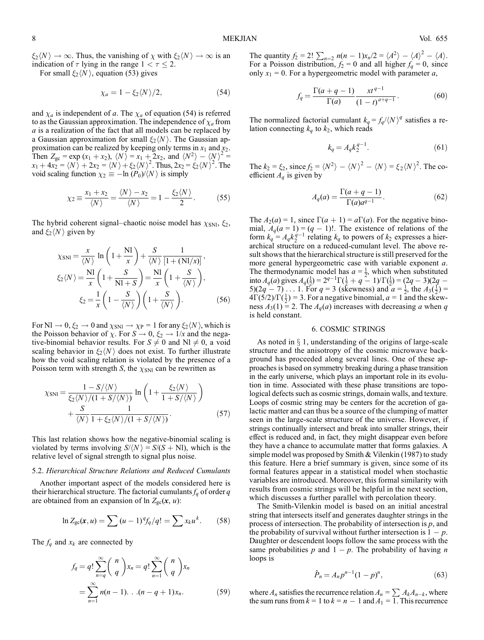$\xi_2\langle N\rangle \rightarrow \infty$ . Thus, the vanishing of  $\chi$  with  $\xi_2\langle N\rangle \rightarrow \infty$  is an indication of  $\tau$  lying in the range  $1 < \tau \leq 2$ .

For small  $\xi_2\langle N \rangle$ , equation (53) gives

$$
\chi_a = 1 - \xi_2 \langle N \rangle / 2, \tag{54}
$$

and  $\chi_a$  is independent of a. The  $\chi_a$  of equation (54) is referred to as the Gaussian approximation. The independence of  $\chi_a$  from  $a$  is a realization of the fact that all models can be replaced by a Gaussian approximation for small  $\xi_2\langle N\rangle$ . The Gaussian approximation can be realized by keeping only terms in  $x_1$  and  $x_2$ . Then  $Z_{gc} = \exp(x_1 + x_2)$ ,  $\langle N \rangle = x_1 + 2x_2$ , and  $\langle N^2 \rangle - \langle N \rangle^2 =$  $x_1 + 4x_2 = \langle N \rangle + 2x_2 = \langle N \rangle + \xi_2 \langle N \rangle^2$ . Thus,  $2x_2 = \xi_2 \langle N \rangle^2$ . The void scaling function  $\chi_2 \equiv -\ln (P_0)/\langle N \rangle$  is simply

$$
\chi_2 \equiv \frac{x_1 + x_2}{\langle N \rangle} = \frac{\langle N \rangle - x_2}{\langle N \rangle} = 1 - \frac{\xi_2 \langle N \rangle}{2}.
$$
 (55)

The hybrid coherent signal–chaotic noise model has  $\chi_{\text{SNl}}$ ,  $\xi_2$ , and  $\xi_2\langle N\rangle$  given by

$$
\chi_{\text{SNI}} = \frac{x}{\langle N \rangle} \ln \left( 1 + \frac{\text{NI}}{x} \right) + \frac{S}{\langle N \rangle} \frac{1}{[1 + (\text{NI}/x)]},
$$
  

$$
\xi_2 \langle N \rangle = \frac{\text{NI}}{x} \left( 1 + \frac{S}{\text{NI} + S} \right) = \frac{\text{NI}}{x} \left( 1 + \frac{S}{\langle N \rangle} \right),
$$
  

$$
\xi_2 = \frac{1}{x} \left( 1 - \frac{S}{\langle N \rangle} \right) \left( 1 + \frac{S}{\langle N \rangle} \right).
$$
 (56)

For N1  $\rightarrow$  0,  $\xi_2 \rightarrow 0$  and  $\chi_{\text{SNl}} \rightarrow \chi_{\text{P}} = 1$  for any  $\xi_2 \langle N \rangle$ , which is the Poisson behavior of  $\chi$ . For  $S \to 0$ ,  $\xi_2 \to 1/x$  and the negative-binomial behavior results. For  $S \neq 0$  and  $Nl \neq 0$ , a void scaling behavior in  $\xi_2\langle N\rangle$  does not exist. To further illustrate how the void scaling relation is violated by the presence of a Poisson term with strength S, the  $\chi_{SNl}$  can be rewritten as

$$
\chi_{\text{SNI}} = \frac{1 - S/\langle N \rangle}{\xi_2 \langle N \rangle / (1 + S/\langle N \rangle)} \ln\left(1 + \frac{\xi_2 \langle N \rangle}{1 + S/\langle N \rangle}\right) + \frac{S}{\langle N \rangle} \frac{1}{1 + \xi_2 \langle N \rangle / (1 + S/\langle N \rangle)}.
$$
(57)

This last relation shows how the negative-binomial scaling is violated by terms involving  $S/N = S/(S + N)$ , which is the relative level of signal strength to signal plus noise.

#### 5.2. Hierarchical Structure Relations and Reduced Cumulants

Another important aspect of the models considered here is their hierarchical structure. The factorial cumulants  $f_q$  of order q are obtained from an expansion of  $\ln Z_{\rm gc}(x, u)$ :

$$
\ln Z_{\rm gc}(\mathbf{x}, u) = \sum (u - 1)^q f_q / q! = \sum x_k u^k. \qquad (58)
$$

The  $f_q$  and  $x_k$  are connected by

$$
f_q = q! \sum_{n=q}^{\infty} {n \choose q} x_n = q! \sum_{n=1}^{\infty} {n \choose q} x_n
$$
  
= 
$$
\sum_{n=1}^{\infty} n(n-1) \dots (n-q+1) x_n.
$$
 (59)

The quantity  $f_2 = 2! \sum_{n=2}^{\infty} n(n-1)x_n/2 = \langle A^2 \rangle - \langle A \rangle^2 - \langle A \rangle$ . For a Poisson distribution,  $f_2 = 0$  and all higher  $f_q = 0$ , since only  $x_1 = 0$ . For a hypergeometric model with parameter a,

$$
f_q = \frac{\Gamma(a+q-1)}{\Gamma(a)} \frac{x t^{q-1}}{(1-t)^{a+q-1}}.
$$
 (60)

The normalized factorial cumulant  $k_q = f_q / \langle N \rangle^q$  satisfies a relation connecting  $k_q$  to  $k_2$ , which reads

$$
k_q = A_q k_2^{q-1}.
$$
 (61)

The  $k_2 = \xi_2$ , since  $f_2 = \langle N^2 \rangle - \langle N \rangle^2 - \langle N \rangle = \xi_2 \langle N \rangle^2$ . The coefficient  $A_q$  is given by

$$
A_q(a) = \frac{\Gamma(a+q-1)}{\Gamma(a)a^{q-1}}.\tag{62}
$$

The  $A_2(a) = 1$ , since  $\Gamma(a + 1) = a\Gamma(a)$ . For the negative binomial,  $A_q(a=1) = (q-1)!$ . The existence of relations of the form  $k_q = A_q k_2^{q-1}$  relating  $k_q$  to powers of  $k_2$  expresses a hierarchical structure on a reduced-cumulant level. The above result shows that the hierarchical structure is still preserved for the more general hypergeometric case with variable exponent a. The thermodynamic model has  $a = \frac{1}{2}$ , which when substituted into  $A_q(a)$  gives  $A_q(\frac{1}{2}) = 2^{q-1}\Gamma(\frac{1}{2} + q - 1)/\Gamma(\frac{1}{2}) = (2q - 3)(2q -$ 5)(2q - 7) ... 1. For q = 3 (skewness) and  $a = \frac{1}{2}$ , the  $A_3(\frac{1}{2})$  =  $4\Gamma(5/2)/\Gamma(\frac{1}{2}) = 3$ . For a negative binomial,  $a = 1$  and the skewness  $A_3(1) = 2$ . The  $A_q(a)$  increases with decreasing a when q is held constant.

## 6. COSMIC STRINGS

As noted in  $\S 1$ , understanding of the origins of large-scale structure and the anisotropy of the cosmic microwave background has proceeded along several lines. One of these approaches is based on symmetry breaking during a phase transition in the early universe, which plays an important role in its evolution in time. Associated with these phase transitions are topological defects such as cosmic strings, domain walls, and texture. Loops of cosmic string may be centers for the accretion of galactic matter and can thus be a source of the clumping of matter seen in the large-scale structure of the universe. However, if strings continually intersect and break into smaller strings, their effect is reduced and, in fact, they might disappear even before they have a chance to accumulate matter that forms galaxies. A simple model was proposed by Smith & Vilenkin (1987) to study this feature. Here a brief summary is given, since some of its formal features appear in a statistical model when stochastic variables are introduced. Moreover, this formal similarity with results from cosmic strings will be helpful in the next section, which discusses a further parallel with percolation theory.

The Smith-Vilenkin model is based on an initial ancestral string that intersects itself and generates daughter strings in the process of intersection. The probability of intersection is  $p$ , and the probability of survival without further intersection is  $1 - p$ . Daughter or descendent loops follow the same process with the same probabilities p and  $1 - p$ . The probability of having n loops is

$$
\hat{P}_n = A_n p^{n-1} (1-p)^n,\tag{63}
$$

where  $A_n$  satisfies the recurrence relation  $A_n = \sum A_k A_{n-k}$ , where the sum runs from  $k = 1$  to  $k = n - 1$  and  $A_1 = 1$ . This recurrence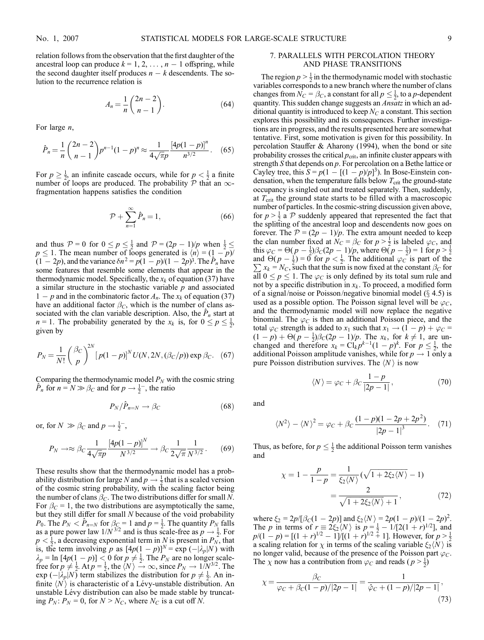relation follows from the observation that the first daughter of the ancestral loop can produce  $k = 1, 2, ..., n - 1$  offspring, while the second daughter itself produces  $n - k$  descendents. The solution to the recurrence relation is

$$
A_n = \frac{1}{n} \binom{2n-2}{n-1}.
$$
\n<sup>(64)</sup>

For large *n*,

$$
\hat{P}_n = \frac{1}{n} \binom{2n-2}{n-1} p^{n-1} (1-p)^n \approx \frac{1}{4\sqrt{\pi}p} \frac{\left[4p(1-p)\right]^n}{n^{3/2}}.
$$
 (65)

For  $p \ge \frac{1}{2}$ , an infinite cascade occurs, while for  $p < \frac{1}{2}$  a finite number of loops are produced. The probability  $P$  that an  $\infty$ fragmentation happens satisfies the condition

$$
\mathcal{P} + \sum_{n=1}^{\infty} \hat{P}_n = 1, \tag{66}
$$

and thus  $P = 0$  for  $0 \le p \le \frac{1}{2}$  and  $P = (2p - 1)/p$  when  $\frac{1}{2} \le p$  $p \le 1$ . The mean number of loops generated is  $\langle n \rangle = (1 - p)/p$  $(1 - 2p)$ , and the variance  $\delta n^2 = p(1 - p)/(1 - 2p)^3$ . The  $\hat{P}_n$  have some features that resemble some elements that appear in the thermodynamic model. Specifically, the  $x_k$  of equation (37) have a similar structure in the stochastic variable  $p$  and associated  $1 - p$  and in the combinatoric factor  $A_n$ . The  $x_k$  of equation (37) have an additional factor  $\beta_c$ , which is the number of clans associated with the clan variable description. Also, the  $\hat{P}_n$  start at  $n = 1$ . The probability generated by the  $x_k$  is, for  $0 \le p \le \frac{1}{2}$ , given by

$$
P_N = \frac{1}{N!} \left(\frac{\beta_C}{p}\right)^{2N} [p(1-p)]^N U(N, 2N, (\beta_C/p)) \exp \beta_C.
$$
 (67)

Comparing the thermodynamic model  $P_N$  with the cosmic string  $\hat{P}_n$  for  $n = N \gg \beta_C$  and for  $p \to \frac{1}{2}$ , the ratio

$$
P_N/\hat{P}_{n=N} \to \beta_C \tag{68}
$$

or, for  $N \gg \beta_C$  and  $p \rightarrow \frac{1}{2}$ ,

$$
P_N \to \approx \beta_C \frac{1}{4\sqrt{\pi p}} \frac{\left[4p(1-p)\right]^N}{N^{3/2}} \to \beta_C \frac{1}{2\sqrt{\pi}} \frac{1}{N^{3/2}}.\tag{69}
$$

These results show that the thermodynamic model has a probability distribution for large N and  $p \rightarrow \frac{1}{2}$  that is a scaled version of the cosmic string probability, with the scaling factor being the number of clans  $\beta_C$ . The two distributions differ for small N. For  $\beta_c = 1$ , the two distributions are asymptotically the same, but they still differ for small  $N$  because of the void probability  $P_0$ . The  $P_N < \hat{P}_{n=N}$  for  $\beta_C = 1$  and  $p = \frac{1}{2}$ . The quantity  $P_N$  falls as a pure power law  $1/N^{3/2}$  and is thus scale-free as  $p \rightarrow \frac{1}{2}$ . For  $p < \frac{1}{2}$ , a decreasing exponential term in N is present in  $P_N$ , that is, the term involving p as  $[4p(1-p)]^N = \exp(-|\lambda_p|N)$  with  $\lambda_p = \ln [4p(1-p)] < 0$  for  $p \neq \frac{1}{2}$ . The  $P_N$  are no longer scalefree for  $p \neq \frac{1}{2}$ . At  $p = \frac{1}{2}$ , the  $\langle N \rangle \stackrel{\sim}{\rightarrow} \infty$ , since  $P_N \rightarrow 1/N^{3/2}$ . The  $\exp(-|\lambda_p|N)$  term stabilizes the distribution for  $p \neq \frac{1}{2}$ . An infinite  $\langle N \rangle$  is characteristic of a Lévy-unstable distribution. An unstable Lévy distribution can also be made stable by truncating  $P_N$ :  $P_N = 0$ , for  $N > N_C$ , where  $N_C$  is a cut off N.

## 7. PARALLELS WITH PERCOLATION THEORY AND PHASE TRANSITIONS

The region  $p > \frac{1}{2}$  in the thermodynamic model with stochastic variables corresponds to a new branch where the number of clans changes from  $N_C = \beta_C$ , a constant for all  $p \leq \frac{1}{2}$ , to a p-dependent quantity. This sudden change suggests an *Ansatz* in which an additional quantity is introduced to keep  $N<sub>C</sub>$  a constant. This section explores this possibility and its consequences. Further investigations are in progress, and the results presented here are somewhat tentative. First, some motivation is given for this possibility. In percolation Stauffer & Aharony (1994), when the bond or site probability crosses the critical  $p_{\text{crit}}$ , an infinite cluster appears with strength S that depends on p. For percolation on a Bethe lattice or Cayley tree, this  $S = p(1 - [(1 - p)/p]^3)$ . In Bose-Einstein condensation, when the temperature falls below  $T_{\text{crit}}$  the ground-state occupancy is singled out and treated separately. Then, suddenly, at  $T_{\text{crit}}$  the ground state starts to be filled with a macroscopic number of particles. In the cosmic-string discussion given above, for  $p > \frac{1}{2}$  a P suddenly appeared that represented the fact that the splitting of the ancestral loop and descendents now goes on forever. The  $P = (2p - 1)/p$ . The extra amount needed to keep the clan number fixed at  $N_C = \beta_C$  for  $p > \frac{1}{2}$  is labeled  $\varphi_C$ , and this  $\varphi_C = \Theta(p - \frac{1}{2})\beta_C(2p - 1)/p$ , where  $\Theta(p - \frac{1}{2}) = 1$  for  $p > \frac{1}{2}$ and  $\Theta(p - \frac{1}{2}) = 0$  for  $p < \frac{1}{2}$ . The additional  $\varphi_c$  is part of the  $\sum x_k = N_C$ , such that the sum is now fixed at the constant  $\beta_C$  for all  $0 \le p \le 1$ . The  $\varphi_C$  is only defined by its total sum rule and not by a specific distribution in  $x_k$ . To proceed, a modified form of a signal/noise or Poisson/negative binomial model  $(\S 4.5)$  is used as a possible option. The Poisson signal level will be  $\varphi_C$ , and the thermodynamic model will now replace the negative binomial. The  $\varphi_C$  is then an additional Poisson piece, and the total  $\varphi_C$  strength is added to  $x_1$  such that  $x_1 \rightarrow (1 - p) + \varphi_C =$  $(1-p) + \Theta(p-\frac{1}{2})\beta_C(2p-1)/p$ . The  $x_k$ , for  $k \neq 1$ , are unchanged and therefore  $x_k = \text{Cl}_k p^{k-1} (1-p)^k$ . For  $p \leq \frac{1}{2}$ , the additional Poisson amplitude vanishes, while for  $p \rightarrow 1$  only a pure Poisson distribution survives. The  $\langle N \rangle$  is now

and

$$
\langle N^2 \rangle - \langle N \rangle^2 = \varphi_C + \beta_C \frac{(1 - p)(1 - 2p + 2p^2)}{|2p - 1|^3}.
$$
 (71)

 $|2p - 1|$ 

 $(70)$ 

Thus, as before, for  $p \leq \frac{1}{2}$  the additional Poisson term vanishes and

 $\langle N \rangle = \varphi_C + \beta_C \frac{1-p}{\vert 2p \vert}$ 

$$
\chi = 1 - \frac{p}{1 - p} = \frac{1}{\xi_2 \langle N \rangle} (\sqrt{1 + 2\xi_2 \langle N \rangle} - 1)
$$

$$
= \frac{2}{\sqrt{1 + 2\xi_2 \langle N \rangle} + 1},
$$
(72)

where  $\xi_2 = 2p/[\beta_C(1 - 2p)]$  and  $\xi_2\langle N \rangle = 2p(1 - p)/(1 - 2p)^2$ . The p in terms of  $r = 2\xi_2 \langle N \rangle$  is  $p = \frac{1}{2} - 1/[2(1 + r)^{1/2}]$ , and  $p/(1-p) = [(1 + r)^{1/2} - 1]/[(1 + r)^{1/2} + 1]$ . However, for  $p > \frac{1}{2}$ a scaling relation for  $\chi$  in terms of the scaling variable  $\xi_2\langle N\rangle$  is no longer valid, because of the presence of the Poisson part  $\varphi_c$ . The  $\chi$  now has a contribution from  $\varphi_C$  and reads ( $p > \frac{1}{2}$ )

$$
\chi = \frac{\beta_C}{\varphi_C + \beta_C(1-p)/|2p-1|} = \frac{1}{\hat{\varphi}_C + (1-p)/|2p-1|},\tag{73}
$$